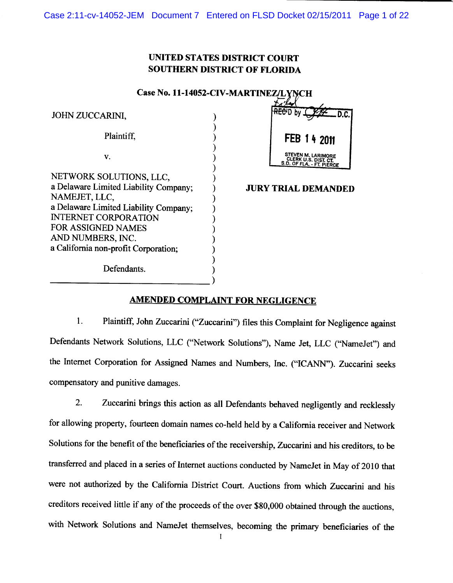## **UNITED STATES DISTRICT COURT SOUTHERN DISTRICT OF FLORIDA**

| Case No. 11-14052-CIV-MARTINEZ/LYNCH |
|--------------------------------------|
|--------------------------------------|

| JOHN ZUCCARINI,                                                      |  |
|----------------------------------------------------------------------|--|
| Plaintiff.                                                           |  |
| V.                                                                   |  |
| NETWORK SOLUTIONS, LLC,                                              |  |
| a Delaware Limited Liability Company;<br>NAMEJET, LLC,               |  |
| a Delaware Limited Liability Company;<br><b>INTERNET CORPORATION</b> |  |
| <b>FOR ASSIGNED NAMES</b><br>AND NUMBERS, INC.                       |  |
| a California non-profit Corporation;                                 |  |
| Defendants.                                                          |  |



## **JURY TRIAL DEMANDED**

## **AMENDED COMPLAINT FOR NEGLIGENCE**

1. Plaintiff, John Zuccarini ("Zuccarini") files this Complaint for Negligence against Defendants Network Solutions, LLC ("Network Solutions"), Name Jet, LLC ("NameJet") and the Internet Corporation for Assigned Names and Numbers, Inc. ("ICANN"). Zuccarini seeks compensatory and punitive damages.

 $2.$ Zuccarini brings this action as all Defendants behaved negligently and recklessly for allowing property, fourteen domain names co-held held by a California receiver and Network Solutions for the benefit of the beneficiaries of the receivership, Zuccarini and his creditors, to be transferred and placed in a series of Internet auctions conducted by NameJet in May of 2010 that were not authorized by the California District Court. Auctions from which Zuccarini and his creditors received little if any of the proceeds of the over \$80,000 obtained through the auctions, with Network Solutions and NameJet themselves, becoming the primary beneficiaries of the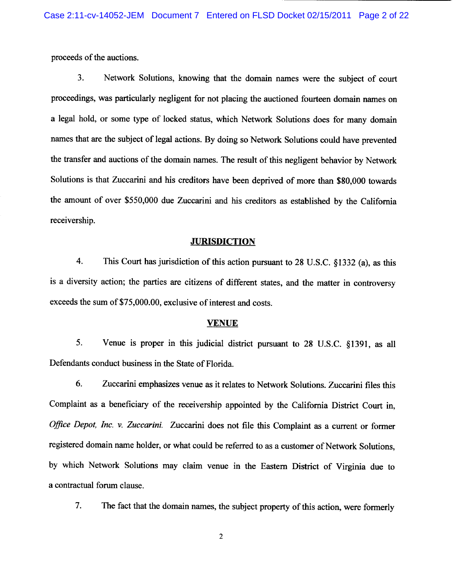proceeds of the auctions.

 $3.$ Network Solutions, knowing that the domain names were the subject of court proceedings, was particularly negligent for not placing the auctioned fourteen domain names on a legal hold, or some type of locked status, which Network Solutions does for many domain names that are the subject of legal actions. By doing so Network Solutions could have prevented the transfer and auctions of the domain names. The result of this negligent behavior by Network Solutions is that Zuccarini and his creditors have been deprived of more than \$80,000 towards the amount of over \$550,000 due Zuccarini and his creditors as established by the California receivership.

#### **JURISDICTION**

 $\overline{4}$ . This Court has jurisdiction of this action pursuant to 28 U.S.C. §1332 (a), as this is a diversity action; the parties are citizens of different states, and the matter in controversy exceeds the sum of \$75,000.00, exclusive of interest and costs.

## **VENUE**

5. Venue is proper in this judicial district pursuant to 28 U.S.C. §1391, as all Defendants conduct business in the State of Florida.

Zuccarini emphasizes venue as it relates to Network Solutions. Zuccarini files this 6. Complaint as a beneficiary of the receivership appointed by the California District Court in, Office Depot, Inc. v. Zuccarini. Zuccarini does not file this Complaint as a current or former registered domain name holder, or what could be referred to as a customer of Network Solutions, by which Network Solutions may claim venue in the Eastern District of Virginia due to a contractual forum clause.

 $7.$ The fact that the domain names, the subject property of this action, were formerly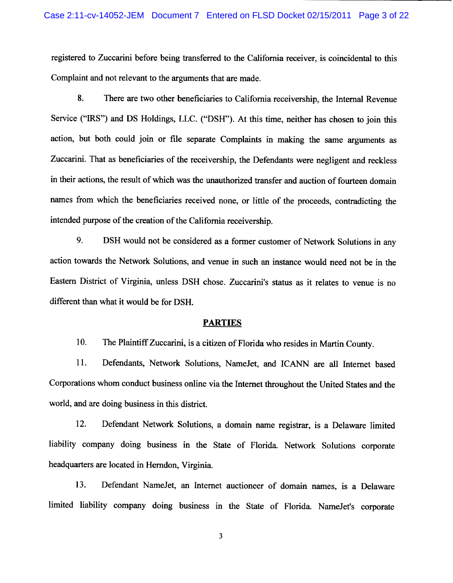registered to Zuccarini before being transferred to the California receiver, is coincidental to this Complaint and not relevant to the arguments that are made.

8. There are two other beneficiaries to California receivership, the Internal Revenue Service ("IRS") and DS Holdings, LLC. ("DSH"). At this time, neither has chosen to join this action, but both could join or file separate Complaints in making the same arguments as Zuccarini. That as beneficiaries of the receivership, the Defendants were negligent and reckless in their actions, the result of which was the unauthorized transfer and auction of fourteen domain names from which the beneficiaries received none, or little of the proceeds, contradicting the intended purpose of the creation of the California receivership.

9. DSH would not be considered as a former customer of Network Solutions in any action towards the Network Solutions, and venue in such an instance would need not be in the Eastern District of Virginia, unless DSH chose. Zuccarini's status as it relates to venue is no different than what it would be for DSH.

#### **PARTIES**

10. The Plaintiff Zuccarini, is a citizen of Florida who resides in Martin County.

11. Defendants, Network Solutions, NameJet, and ICANN are all Internet based Corporations whom conduct business online via the Internet throughout the United States and the world, and are doing business in this district.

Defendant Network Solutions, a domain name registrar, is a Delaware limited  $12.$ liability company doing business in the State of Florida. Network Solutions corporate headquarters are located in Herndon, Virginia.

Defendant NameJet, an Internet auctioneer of domain names, is a Delaware 13. limited liability company doing business in the State of Florida. NameJet's corporate

 $\overline{\mathbf{3}}$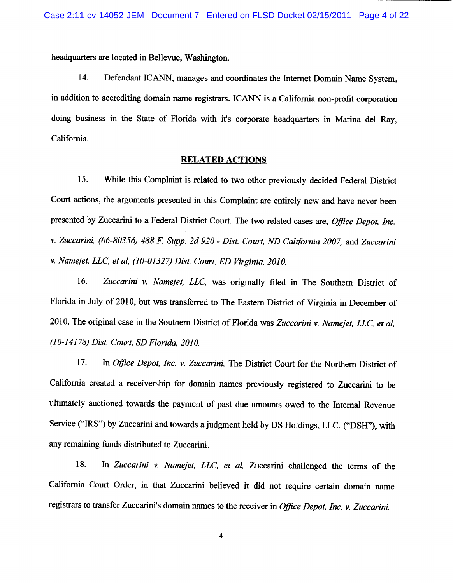headquarters are located in Bellevue, Washington.

Defendant ICANN, manages and coordinates the Internet Domain Name System, 14. in addition to accrediting domain name registrars. ICANN is a California non-profit corporation doing business in the State of Florida with it's corporate headquarters in Marina del Ray, California.

#### **RELATED ACTIONS**

15. While this Complaint is related to two other previously decided Federal District Court actions, the arguments presented in this Complaint are entirely new and have never been presented by Zuccarini to a Federal District Court. The two related cases are, Office Depot, Inc. v. Zuccarini, (06-80356) 488 F. Supp. 2d 920 - Dist. Court, ND California 2007, and Zuccarini v. Namejet, LLC, et al, (10-01327) Dist. Court, ED Virginia, 2010.

16. Zuccarini v. Namejet, LLC, was originally filed in The Southern District of Florida in July of 2010, but was transferred to The Eastern District of Virginia in December of 2010. The original case in the Southern District of Florida was Zuccarini v. Namejet, LLC, et al, (10-14178) Dist. Court, SD Florida, 2010.

17. In Office Depot, Inc. v. Zuccarini, The District Court for the Northern District of California created a receivership for domain names previously registered to Zuccarini to be ultimately auctioned towards the payment of past due amounts owed to the Internal Revenue Service ("IRS") by Zuccarini and towards a judgment held by DS Holdings, LLC. ("DSH"), with any remaining funds distributed to Zuccarini.

In Zuccarini v. Namejet, LLC, et al, Zuccarini challenged the terms of the 18. California Court Order, in that Zuccarini believed it did not require certain domain name registrars to transfer Zuccarini's domain names to the receiver in Office Depot, Inc. v. Zuccarini.

 $\overline{\mathbf{4}}$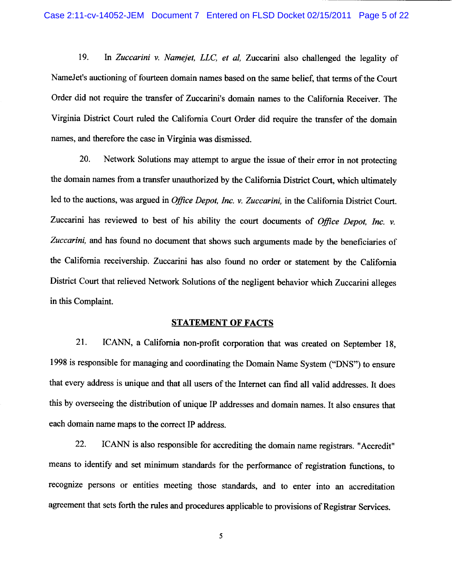In Zuccarini v. Namejet, LLC, et al, Zuccarini also challenged the legality of 19. NameJet's auctioning of fourteen domain names based on the same belief, that terms of the Court Order did not require the transfer of Zuccarini's domain names to the California Receiver. The Virginia District Court ruled the California Court Order did require the transfer of the domain names, and therefore the case in Virginia was dismissed.

20. Network Solutions may attempt to argue the issue of their error in not protecting the domain names from a transfer unauthorized by the California District Court, which ultimately led to the auctions, was argued in *Office Depot, Inc. v. Zuccarini*, in the California District Court. Zuccarini has reviewed to best of his ability the court documents of Office Depot, Inc. v. Zuccarini, and has found no document that shows such arguments made by the beneficiaries of the California receivership. Zuccarini has also found no order or statement by the California District Court that relieved Network Solutions of the negligent behavior which Zuccarini alleges in this Complaint.

### **STATEMENT OF FACTS**

21. ICANN, a California non-profit corporation that was created on September 18. 1998 is responsible for managing and coordinating the Domain Name System ("DNS") to ensure that every address is unique and that all users of the Internet can find all valid addresses. It does this by overseeing the distribution of unique IP addresses and domain names. It also ensures that each domain name maps to the correct IP address.

 $22.$ ICANN is also responsible for accrediting the domain name registrars. "Accredit" means to identify and set minimum standards for the performance of registration functions, to recognize persons or entities meeting those standards, and to enter into an accreditation agreement that sets forth the rules and procedures applicable to provisions of Registrar Services.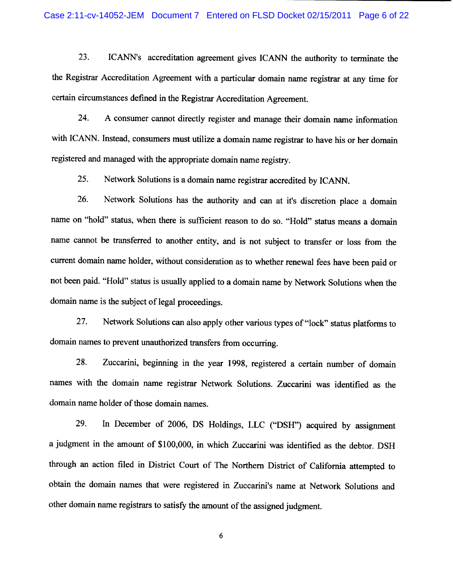23. ICANN's accreditation agreement gives ICANN the authority to terminate the the Registrar Accreditation Agreement with a particular domain name registrar at any time for certain circumstances defined in the Registrar Accreditation Agreement.

24. A consumer cannot directly register and manage their domain name information with ICANN. Instead, consumers must utilize a domain name registrar to have his or her domain registered and managed with the appropriate domain name registry.

25. Network Solutions is a domain name registrar accredited by ICANN.

Network Solutions has the authority and can at it's discretion place a domain 26. name on "hold" status, when there is sufficient reason to do so. "Hold" status means a domain name cannot be transferred to another entity, and is not subject to transfer or loss from the current domain name holder, without consideration as to whether renewal fees have been paid or not been paid. "Hold" status is usually applied to a domain name by Network Solutions when the domain name is the subject of legal proceedings.

27. Network Solutions can also apply other various types of "lock" status platforms to domain names to prevent unauthorized transfers from occurring.

28. Zuccarini, beginning in the year 1998, registered a certain number of domain names with the domain name registrar Network Solutions. Zuccarini was identified as the domain name holder of those domain names.

In December of 2006, DS Holdings, LLC ("DSH") acquired by assignment 29. a judgment in the amount of \$100,000, in which Zuccarini was identified as the debtor. DSH through an action filed in District Court of The Northern District of California attempted to obtain the domain names that were registered in Zuccarini's name at Network Solutions and other domain name registrars to satisfy the amount of the assigned judgment.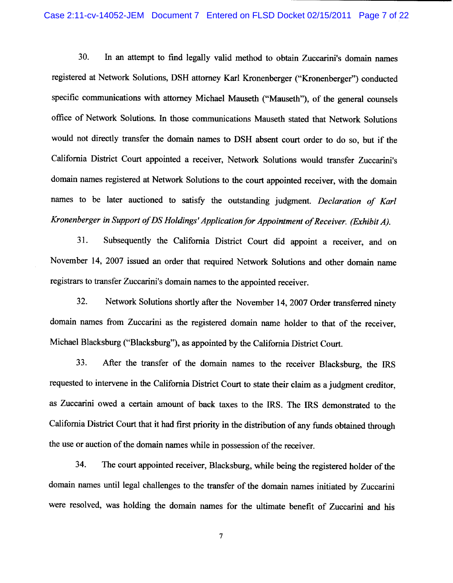30. In an attempt to find legally valid method to obtain Zuccarini's domain names registered at Network Solutions, DSH attorney Karl Kronenberger ("Kronenberger") conducted specific communications with attorney Michael Mauseth ("Mauseth"), of the general counsels office of Network Solutions. In those communications Mauseth stated that Network Solutions would not directly transfer the domain names to DSH absent court order to do so, but if the California District Court appointed a receiver, Network Solutions would transfer Zuccarini's domain names registered at Network Solutions to the court appointed receiver, with the domain names to be later auctioned to satisfy the outstanding judgment. Declaration of Karl Kronenberger in Support of DS Holdings' Application for Appointment of Receiver. (Exhibit A).

Subsequently the California District Court did appoint a receiver, and on 31. November 14, 2007 issued an order that required Network Solutions and other domain name registrars to transfer Zuccarini's domain names to the appointed receiver.

 $32.$ Network Solutions shortly after the November 14, 2007 Order transferred ninety domain names from Zuccarini as the registered domain name holder to that of the receiver, Michael Blacksburg ("Blacksburg"), as appointed by the California District Court.

33. After the transfer of the domain names to the receiver Blacksburg, the IRS requested to intervene in the California District Court to state their claim as a judgment creditor, as Zuccarini owed a certain amount of back taxes to the IRS. The IRS demonstrated to the California District Court that it had first priority in the distribution of any funds obtained through the use or auction of the domain names while in possession of the receiver.

34. The court appointed receiver, Blacksburg, while being the registered holder of the domain names until legal challenges to the transfer of the domain names initiated by Zuccarini were resolved, was holding the domain names for the ultimate benefit of Zuccarini and his

 $\overline{7}$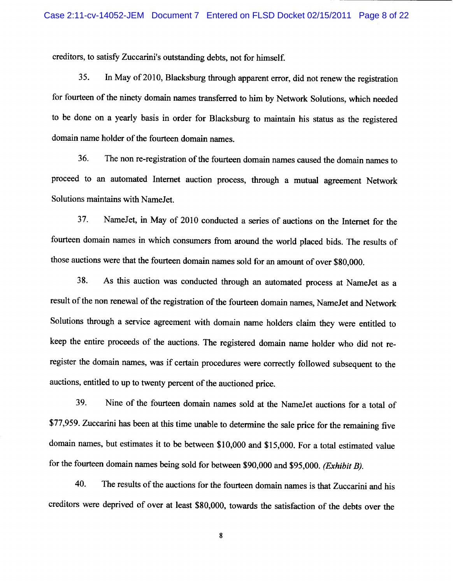creditors, to satisfy Zuccarini's outstanding debts, not for himself.

In May of 2010, Blacksburg through apparent error, did not renew the registration 35. for fourteen of the ninety domain names transferred to him by Network Solutions, which needed to be done on a yearly basis in order for Blacksburg to maintain his status as the registered domain name holder of the fourteen domain names.

36. The non re-registration of the fourteen domain names caused the domain names to proceed to an automated Internet auction process, through a mutual agreement Network Solutions maintains with NameJet.

37. NameJet, in May of 2010 conducted a series of auctions on the Internet for the fourteen domain names in which consumers from around the world placed bids. The results of those auctions were that the fourteen domain names sold for an amount of over \$80,000.

As this auction was conducted through an automated process at NameJet as a 38. result of the non renewal of the registration of the fourteen domain names, NameJet and Network Solutions through a service agreement with domain name holders claim they were entitled to keep the entire proceeds of the auctions. The registered domain name holder who did not reregister the domain names, was if certain procedures were correctly followed subsequent to the auctions, entitled to up to twenty percent of the auctioned price.

39. Nine of the fourteen domain names sold at the NameJet auctions for a total of \$77,959. Zuccarini has been at this time unable to determine the sale price for the remaining five domain names, but estimates it to be between \$10,000 and \$15,000. For a total estimated value for the fourteen domain names being sold for between \$90,000 and \$95,000. (Exhibit B).

40. The results of the auctions for the fourteen domain names is that Zuccarini and his creditors were deprived of over at least \$80,000, towards the satisfaction of the debts over the

 $\bf 8$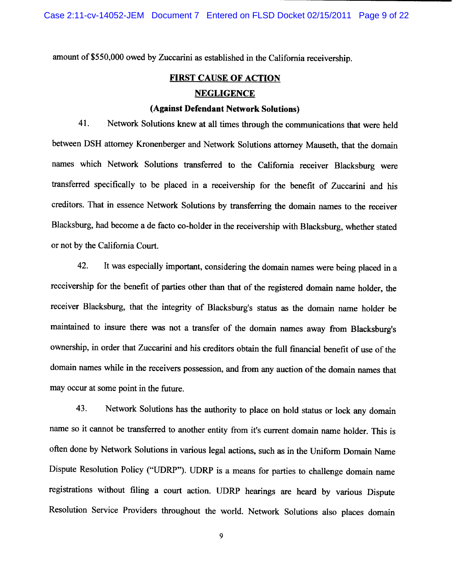amount of \$550,000 owed by Zuccarini as established in the California receivership.

## **FIRST CAUSE OF ACTION NEGLIGENCE**

## (Against Defendant Network Solutions)

Network Solutions knew at all times through the communications that were held 41. between DSH attorney Kronenberger and Network Solutions attorney Mauseth, that the domain names which Network Solutions transferred to the California receiver Blacksburg were transferred specifically to be placed in a receivership for the benefit of Zuccarini and his creditors. That in essence Network Solutions by transferring the domain names to the receiver Blacksburg, had become a de facto co-holder in the receivership with Blacksburg, whether stated or not by the California Court.

42. It was especially important, considering the domain names were being placed in a receivership for the benefit of parties other than that of the registered domain name holder, the receiver Blacksburg, that the integrity of Blacksburg's status as the domain name holder be maintained to insure there was not a transfer of the domain names away from Blacksburg's ownership, in order that Zuccarini and his creditors obtain the full financial benefit of use of the domain names while in the receivers possession, and from any auction of the domain names that may occur at some point in the future.

Network Solutions has the authority to place on hold status or lock any domain 43. name so it cannot be transferred to another entity from it's current domain name holder. This is often done by Network Solutions in various legal actions, such as in the Uniform Domain Name Dispute Resolution Policy ("UDRP"). UDRP is a means for parties to challenge domain name registrations without filing a court action. UDRP hearings are heard by various Dispute Resolution Service Providers throughout the world. Network Solutions also places domain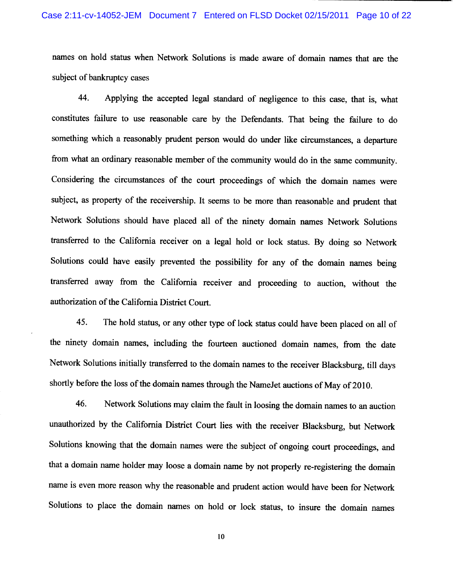names on hold status when Network Solutions is made aware of domain names that are the subject of bankruptcy cases

Applying the accepted legal standard of negligence to this case, that is, what 44. constitutes failure to use reasonable care by the Defendants. That being the failure to do something which a reasonably prudent person would do under like circumstances, a departure from what an ordinary reasonable member of the community would do in the same community. Considering the circumstances of the court proceedings of which the domain names were subject, as property of the receivership. It seems to be more than reasonable and prudent that Network Solutions should have placed all of the ninety domain names Network Solutions transferred to the California receiver on a legal hold or lock status. By doing so Network Solutions could have easily prevented the possibility for any of the domain names being transferred away from the California receiver and proceeding to auction, without the authorization of the California District Court.

45. The hold status, or any other type of lock status could have been placed on all of the ninety domain names, including the fourteen auctioned domain names, from the date Network Solutions initially transferred to the domain names to the receiver Blacksburg, till days shortly before the loss of the domain names through the NameJet auctions of May of 2010.

46. Network Solutions may claim the fault in loosing the domain names to an auction unauthorized by the California District Court lies with the receiver Blacksburg, but Network Solutions knowing that the domain names were the subject of ongoing court proceedings, and that a domain name holder may loose a domain name by not properly re-registering the domain name is even more reason why the reasonable and prudent action would have been for Network Solutions to place the domain names on hold or lock status, to insure the domain names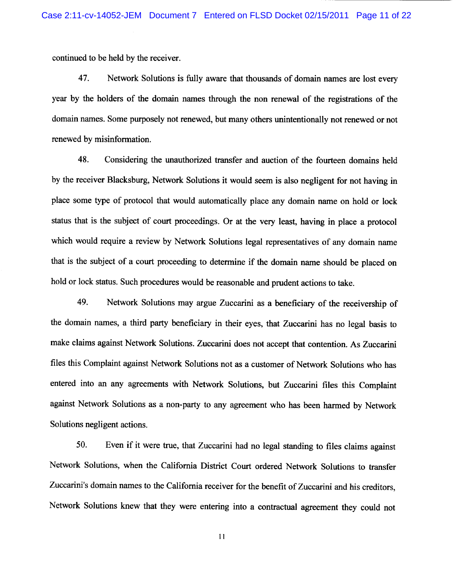continued to be held by the receiver.

47. Network Solutions is fully aware that thousands of domain names are lost every year by the holders of the domain names through the non renewal of the registrations of the domain names. Some purposely not renewed, but many others unintentionally not renewed or not renewed by misinformation.

48. Considering the unauthorized transfer and auction of the fourteen domains held by the receiver Blacksburg, Network Solutions it would seem is also negligent for not having in place some type of protocol that would automatically place any domain name on hold or lock status that is the subject of court proceedings. Or at the very least, having in place a protocol which would require a review by Network Solutions legal representatives of any domain name that is the subject of a court proceeding to determine if the domain name should be placed on hold or lock status. Such procedures would be reasonable and prudent actions to take.

49. Network Solutions may argue Zuccarini as a beneficiary of the receivership of the domain names, a third party beneficiary in their eyes, that Zuccarini has no legal basis to make claims against Network Solutions. Zuccarini does not accept that contention. As Zuccarini files this Complaint against Network Solutions not as a customer of Network Solutions who has entered into an any agreements with Network Solutions, but Zuccarini files this Complaint against Network Solutions as a non-party to any agreement who has been harmed by Network Solutions negligent actions.

50. Even if it were true, that Zuccarini had no legal standing to files claims against Network Solutions, when the California District Court ordered Network Solutions to transfer Zuccarini's domain names to the California receiver for the benefit of Zuccarini and his creditors, Network Solutions knew that they were entering into a contractual agreement they could not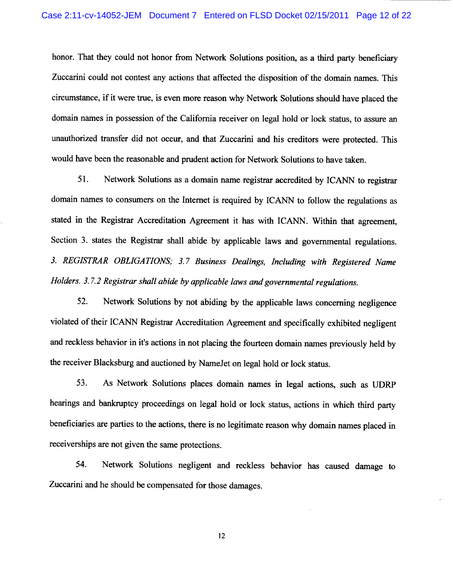honor. That they could not honor from Network Solutions position, as a third party beneficiary Zuccarini could not contest any actions that affected the disposition of the domain names. This circumstance, if it were true, is even more reason why Network Solutions should have placed the domain names in possession of the California receiver on legal hold or lock status, to assure an unauthorized transfer did not occur, and that Zuccarini and his creditors were protected. This would have been the reasonable and prudent action for Network Solutions to have taken.

51. Network Solutions as a domain name registrar accredited by ICANN to registrar domain names to consumers on the Internet is required by ICANN to follow the regulations as stated in the Registrar Accreditation Agreement it has with ICANN. Within that agreement, Section 3. states the Registrar shall abide by applicable laws and governmental regulations. 3. REGISTRAR OBLIGATIONS; 3.7 Business Dealings, Including with Registered Name Holders. 3.7.2 Registrar shall abide by applicable laws and governmental regulations.

52. Network Solutions by not abiding by the applicable laws concerning negligence violated of their ICANN Registrar Accreditation Agreement and specifically exhibited negligent and reckless behavior in it's actions in not placing the fourteen domain names previously held by the receiver Blacksburg and auctioned by NameJet on legal hold or lock status.

53. As Network Solutions places domain names in legal actions, such as UDRP hearings and bankruptcy proceedings on legal hold or lock status, actions in which third party beneficiaries are parties to the actions, there is no legitimate reason why domain names placed in receiverships are not given the same protections.

Network Solutions negligent and reckless behavior has caused damage to 54. Zuccarini and he should be compensated for those damages.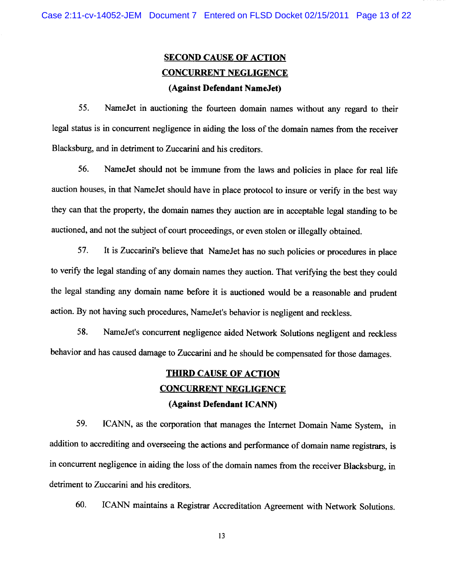## **SECOND CAUSE OF ACTION CONCURRENT NEGLIGENCE** (Against Defendant NameJet)

55. Name Jet in auctioning the fourteen domain names without any regard to their legal status is in concurrent negligence in aiding the loss of the domain names from the receiver Blacksburg, and in detriment to Zuccarini and his creditors.

56. NameJet should not be immune from the laws and policies in place for real life auction houses, in that NameJet should have in place protocol to insure or verify in the best way they can that the property, the domain names they auction are in acceptable legal standing to be auctioned, and not the subject of court proceedings, or even stolen or illegally obtained.

It is Zuccarini's believe that NameJet has no such policies or procedures in place 57. to verify the legal standing of any domain names they auction. That verifying the best they could the legal standing any domain name before it is auctioned would be a reasonable and prudent action. By not having such procedures, NameJet's behavior is negligent and reckless.

58. NameJet's concurrent negligence aided Network Solutions negligent and reckless behavior and has caused damage to Zuccarini and he should be compensated for those damages.

## **THIRD CAUSE OF ACTION CONCURRENT NEGLIGENCE** (Against Defendant ICANN)

59. ICANN, as the corporation that manages the Internet Domain Name System, in addition to accrediting and overseeing the actions and performance of domain name registrars, is in concurrent negligence in aiding the loss of the domain names from the receiver Blacksburg, in detriment to Zuccarini and his creditors.

60. ICANN maintains a Registrar Accreditation Agreement with Network Solutions.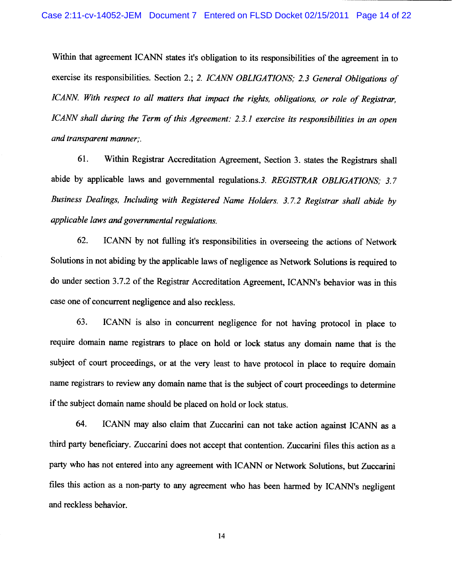Within that agreement ICANN states it's obligation to its responsibilities of the agreement in to exercise its responsibilities. Section 2.; 2. ICANN OBLIGATIONS; 2.3 General Obligations of ICANN. With respect to all matters that impact the rights, obligations, or role of Registrar, ICANN shall during the Term of this Agreement: 2.3.1 exercise its responsibilities in an open and transparent manner;.

61. Within Registrar Accreditation Agreement, Section 3. states the Registrars shall abide by applicable laws and governmental regulations.3. REGISTRAR OBLIGATIONS; 3.7 Business Dealings, Including with Registered Name Holders. 3.7.2 Registrar shall abide by applicable laws and governmental regulations.

ICANN by not fulling it's responsibilities in overseeing the actions of Network 62. Solutions in not abiding by the applicable laws of negligence as Network Solutions is required to do under section 3.7.2 of the Registrar Accreditation Agreement, ICANN's behavior was in this case one of concurrent negligence and also reckless.

ICANN is also in concurrent negligence for not having protocol in place to 63. require domain name registrars to place on hold or lock status any domain name that is the subject of court proceedings, or at the very least to have protocol in place to require domain name registrars to review any domain name that is the subject of court proceedings to determine if the subject domain name should be placed on hold or lock status.

64. ICANN may also claim that Zuccarini can not take action against ICANN as a third party beneficiary. Zuccarini does not accept that contention. Zuccarini files this action as a party who has not entered into any agreement with ICANN or Network Solutions, but Zuccarini files this action as a non-party to any agreement who has been harmed by ICANN's negligent and reckless behavior.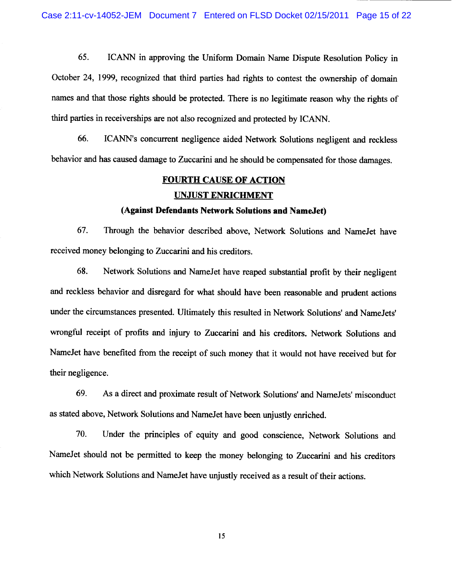65. ICANN in approving the Uniform Domain Name Dispute Resolution Policy in October 24, 1999, recognized that third parties had rights to contest the ownership of domain names and that those rights should be protected. There is no legitimate reason why the rights of third parties in receiverships are not also recognized and protected by ICANN.

ICANN's concurrent negligence aided Network Solutions negligent and reckless 66. behavior and has caused damage to Zuccarini and he should be compensated for those damages.

## **FOURTH CAUSE OF ACTION**

## **UNJUST ENRICHMENT**

### (Against Defendants Network Solutions and NameJet)

67. Through the behavior described above, Network Solutions and NameJet have received money belonging to Zuccarini and his creditors.

68. Network Solutions and NameJet have reaped substantial profit by their negligent and reckless behavior and disregard for what should have been reasonable and prudent actions under the circumstances presented. Ultimately this resulted in Network Solutions' and NameJets' wrongful receipt of profits and injury to Zuccarini and his creditors. Network Solutions and NameJet have benefited from the receipt of such money that it would not have received but for their negligence.

69. As a direct and proximate result of Network Solutions' and NameJets' misconduct as stated above, Network Solutions and NameJet have been unjustly enriched.

70. Under the principles of equity and good conscience, Network Solutions and NameJet should not be permitted to keep the money belonging to Zuccarini and his creditors which Network Solutions and NameJet have unjustly received as a result of their actions.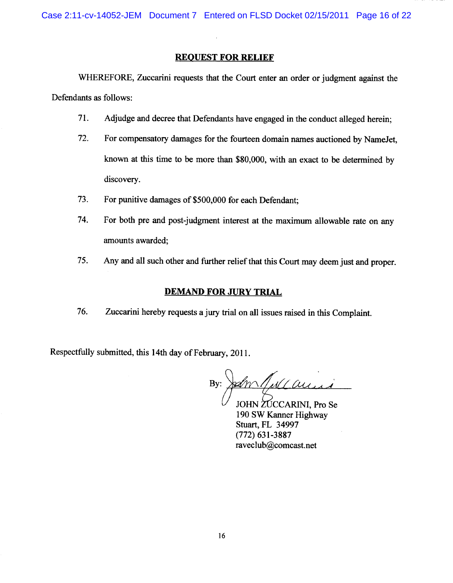Case 2:11-cv-14052-JEM Document 7 Entered on FLSD Docket 02/15/2011 Page 16 of 22

## **REQUEST FOR RELIEF**

WHEREFORE, Zuccarini requests that the Court enter an order or judgment against the Defendants as follows:

- 71. Adjudge and decree that Defendants have engaged in the conduct alleged herein;
- 72. For compensatory damages for the fourteen domain names auctioned by NameJet, known at this time to be more than \$80,000, with an exact to be determined by discovery.
- 73. For punitive damages of \$500,000 for each Defendant;
- 74. For both pre and post-judgment interest at the maximum allowable rate on any amounts awarded;
- 75. Any and all such other and further relief that this Court may deem just and proper.

## **DEMAND FOR JURY TRIAL**

76. Zuccarini hereby requests a jury trial on all issues raised in this Complaint.

Respectfully submitted, this 14th day of February, 2011.

SomMellauri By:

JOHN ZUCCARINI, Pro Se 190 SW Kanner Highway Stuart, FL 34997  $(772)$  631-3887 raveclub@comcast.net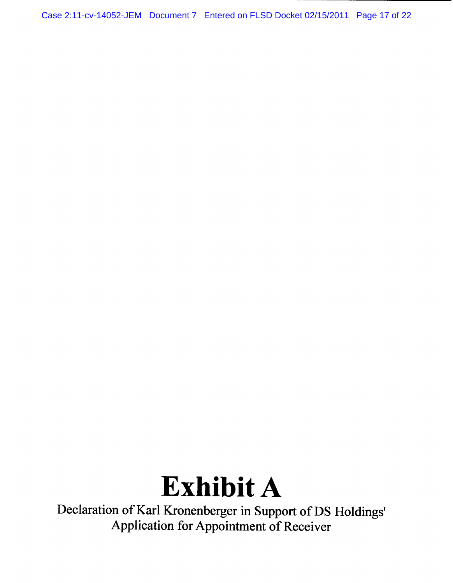Case 2:11-cv-14052-JEM Document 7 Entered on FLSD Docket 02/15/2011 Page 17 of 22

# **Exhibit A**

Declaration of Karl Kronenberger in Support of DS Holdings' Application for Appointment of Receiver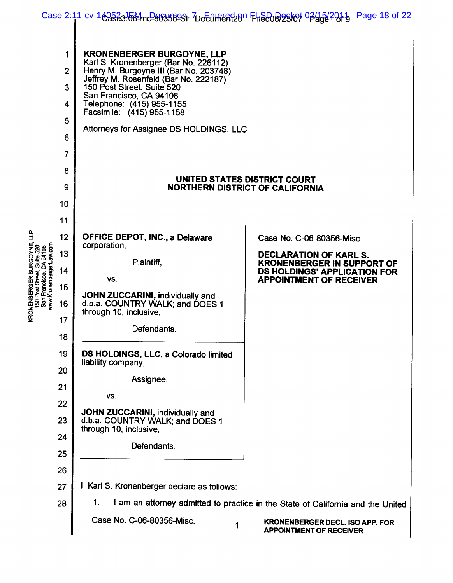|                                                                                        |                                                                     |                                                                                                                                                                                                                                                                                                                                                                                                                                                                                                   | Page 18 of 22                                                            |  |
|----------------------------------------------------------------------------------------|---------------------------------------------------------------------|---------------------------------------------------------------------------------------------------------------------------------------------------------------------------------------------------------------------------------------------------------------------------------------------------------------------------------------------------------------------------------------------------------------------------------------------------------------------------------------------------|--------------------------------------------------------------------------|--|
|                                                                                        | 1<br>$\overline{2}$<br>3<br>4<br>5<br>6<br>$\overline{7}$<br>8<br>9 | Case 2:11-cv-1 <del>@2323.00</del> 4mc 200358991 7DoEufferfeben File808/25/67 02/15/2013<br><b>KRONENBERGER BURGOYNE, LLP</b><br>Karl S. Kronenberger (Bar No. 226112)<br>Henry M. Burgoyne III (Bar No. 203748)<br>Jeffrey M. Rosenfeld (Bar No. 222187)<br>150 Post Street, Suite 520<br>San Francisco, CA 94108<br>Telephone: (415) 955-1155<br>Facsimile: (415) 955-1158<br>Attorneys for Assignee DS HOLDINGS, LLC<br>UNITED STATES DISTRICT COURT<br><b>NORTHERN DISTRICT OF CALIFORNIA</b> |                                                                          |  |
|                                                                                        | 10                                                                  |                                                                                                                                                                                                                                                                                                                                                                                                                                                                                                   |                                                                          |  |
|                                                                                        | 11                                                                  |                                                                                                                                                                                                                                                                                                                                                                                                                                                                                                   |                                                                          |  |
| Ê                                                                                      | 12                                                                  | <b>OFFICE DEPOT, INC., a Delaware</b>                                                                                                                                                                                                                                                                                                                                                                                                                                                             | Case No. C-06-80356-Misc.                                                |  |
| Suite 520<br>CA 94108                                                                  | 13                                                                  | corporation,                                                                                                                                                                                                                                                                                                                                                                                                                                                                                      | <b>DECLARATION OF KARL S.</b>                                            |  |
|                                                                                        | 14                                                                  | Plaintiff,                                                                                                                                                                                                                                                                                                                                                                                                                                                                                        | <b>KRONENBERGER IN SUPPORT OF</b><br><b>DS HOLDINGS' APPLICATION FOR</b> |  |
|                                                                                        | 15                                                                  | VS.                                                                                                                                                                                                                                                                                                                                                                                                                                                                                               | <b>APPOINTMENT OF RECEIVER</b>                                           |  |
| KRONENBERGER BURGOYNE<br>www.KronenbergerLaw.com<br>150 Post Street,<br>San Francisco, | 16                                                                  | JOHN ZUCCARINI, individually and<br>d.b.a. COUNTRY WALK; and DOES 1                                                                                                                                                                                                                                                                                                                                                                                                                               |                                                                          |  |
|                                                                                        | 17                                                                  | through 10, inclusive,<br>Defendants.                                                                                                                                                                                                                                                                                                                                                                                                                                                             |                                                                          |  |
|                                                                                        | 18                                                                  |                                                                                                                                                                                                                                                                                                                                                                                                                                                                                                   |                                                                          |  |
|                                                                                        | 19                                                                  | DS HOLDINGS, LLC, a Colorado limited<br>liability company,                                                                                                                                                                                                                                                                                                                                                                                                                                        |                                                                          |  |
|                                                                                        | 20                                                                  | Assignee,                                                                                                                                                                                                                                                                                                                                                                                                                                                                                         |                                                                          |  |
|                                                                                        | 21                                                                  | VS.                                                                                                                                                                                                                                                                                                                                                                                                                                                                                               |                                                                          |  |
|                                                                                        | 22                                                                  | JOHN ZUCCARINI, individually and                                                                                                                                                                                                                                                                                                                                                                                                                                                                  |                                                                          |  |
|                                                                                        | 23                                                                  | d.b.a. COUNTRY WALK; and DOES 1<br>through 10, inclusive,                                                                                                                                                                                                                                                                                                                                                                                                                                         |                                                                          |  |
|                                                                                        | 24                                                                  | Defendants.                                                                                                                                                                                                                                                                                                                                                                                                                                                                                       |                                                                          |  |
|                                                                                        | 25                                                                  |                                                                                                                                                                                                                                                                                                                                                                                                                                                                                                   |                                                                          |  |
|                                                                                        | 26                                                                  |                                                                                                                                                                                                                                                                                                                                                                                                                                                                                                   |                                                                          |  |
|                                                                                        | 27                                                                  | I, Karl S. Kronenberger declare as follows:<br>1.                                                                                                                                                                                                                                                                                                                                                                                                                                                 |                                                                          |  |
|                                                                                        | 28                                                                  | I am an attorney admitted to practice in the State of California and the United<br>Case No. C-06-80356-Misc.                                                                                                                                                                                                                                                                                                                                                                                      |                                                                          |  |
|                                                                                        |                                                                     | 1                                                                                                                                                                                                                                                                                                                                                                                                                                                                                                 | <b>KRONENBERGER DECL. ISO APP. FOR</b><br><b>APPOINTMENT OF RECEIVER</b> |  |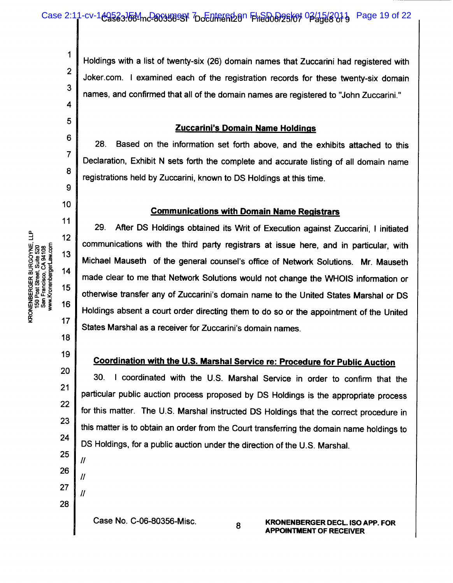Holdings with a list of twenty-six (26) domain names that Zuccarini had registered with Joker.com. I examined each of the registration records for these twenty-six domain names, and confirmed that all of the domain names are registered to "John Zuccarini."

## **Zuccarini's Domain Name Holdings**

Based on the information set forth above, and the exhibits attached to this 28. Declaration, Exhibit N sets forth the complete and accurate listing of all domain name registrations held by Zuccarini, known to DS Holdings at this time.

## **Communications with Domain Name Registrars**

29. After DS Holdings obtained its Writ of Execution against Zuccarini, I initiated communications with the third party registrars at issue here, and in particular, with Michael Mauseth of the general counsel's office of Network Solutions. Mr. Mauseth made clear to me that Network Solutions would not change the WHOIS information or otherwise transfer any of Zuccarini's domain name to the United States Marshal or DS Holdings absent a court order directing them to do so or the appointment of the United States Marshal as a receiver for Zuccarini's domain names.

## Coordination with the U.S. Marshal Service re: Procedure for Public Auction

I coordinated with the U.S. Marshal Service in order to confirm that the  $30<sub>1</sub>$ particular public auction process proposed by DS Holdings is the appropriate process for this matter. The U.S. Marshal instructed DS Holdings that the correct procedure in this matter is to obtain an order from the Court transferring the domain name holdings to DS Holdings, for a public auction under the direction of the U.S. Marshal.

8

27 28

Case No. C-06-80356-Misc.

 $\mathbf 1$ 

 $\overline{2}$ 

3

4

5

6

 $\overline{7}$ 

8

9

10

11

 $12$ 

13

14

15

16

 $17$ 

18

19

20

 $21$ 

22

23

24

25

26

 $\mathcal{U}$ 

 $\prime$ 

 $\mathcal{U}$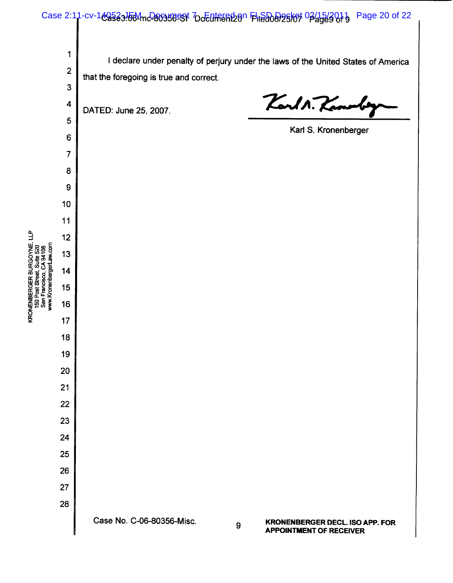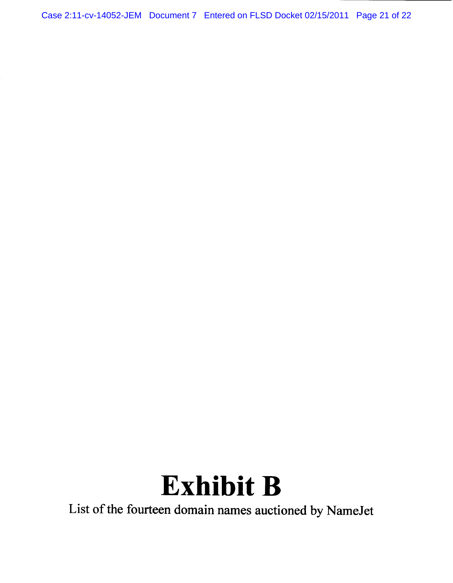Case 2:11-cv-14052-JEM Document 7 Entered on FLSD Docket 02/15/2011 Page 21 of 22

# **Exhibit B**

List of the fourteen domain names auctioned by NameJet